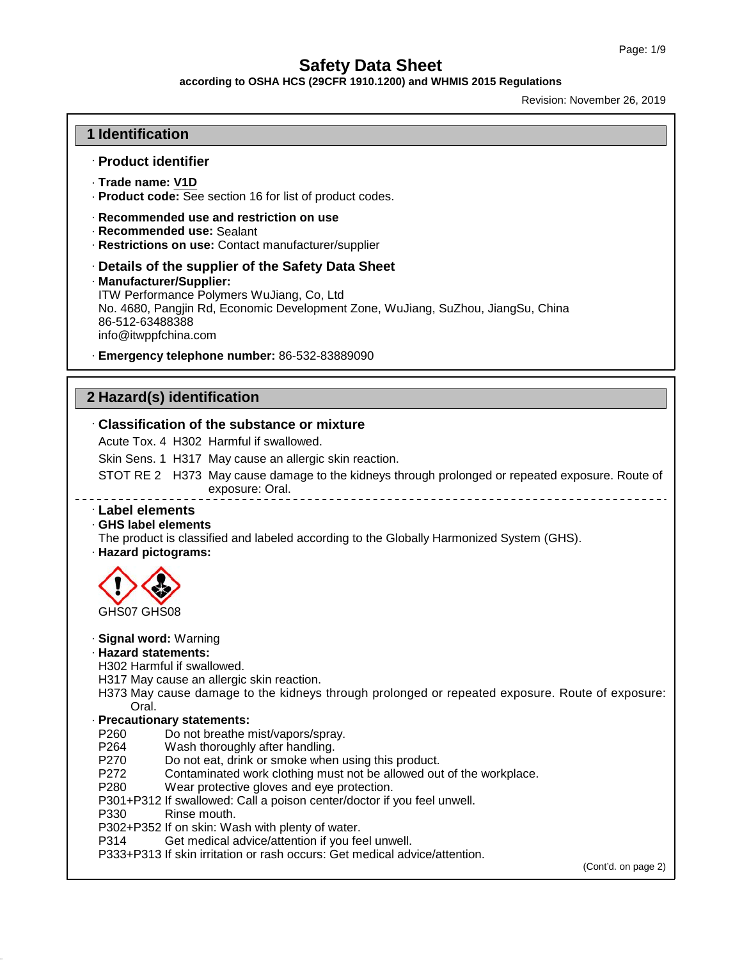**according to OSHA HCS (29CFR 1910.1200) and WHMIS 2015 Regulations**

Revision: November 26, 2019

# **1 Identification**

# · **Product identifier**

- · **Trade name: V1D**
- · **Product code:** See section 16 for list of product codes.
- · **Recommended use and restriction on use**
- · **Recommended use:** Sealant
- · **Restrictions on use:** Contact manufacturer/supplier
- · **Details of the supplier of the Safety Data Sheet**
- · **Manufacturer/Supplier:**

ITW Performance Polymers WuJiang, Co, Ltd No. 4680, Pangjin Rd, Economic Development Zone, WuJiang, SuZhou, JiangSu, China 86-512-63488388 info@itwppfchina.com

· **Emergency telephone number:** 86-532-83889090

# **2 Hazard(s) identification**

### · **Classification of the substance or mixture**

Acute Tox. 4 H302 Harmful if swallowed.

Skin Sens. 1 H317 May cause an allergic skin reaction.

STOT RE 2 H373 May cause damage to the kidneys through prolonged or repeated exposure. Route of exposure: Oral. 

# · **Label elements**

· **GHS label elements**

- The product is classified and labeled according to the Globally Harmonized System (GHS).
- · **Hazard pictograms:**



· **Signal word:** Warning

### · **Hazard statements:**

- H302 Harmful if swallowed.
- H317 May cause an allergic skin reaction.

H373 May cause damage to the kidneys through prolonged or repeated exposure. Route of exposure: Oral.

# · **Precautionary statements:**

- P260 Do not breathe mist/vapors/spray.<br>P264 Wash thoroughly after handling.
- P264 Wash thoroughly after handling.<br>P270 Do not eat. drink or smoke wher
- P270 Do not eat, drink or smoke when using this product.<br>P272 Contaminated work clothing must not be allowed our
- Contaminated work clothing must not be allowed out of the workplace.
- P280 Wear protective gloves and eye protection.
- P301+P312 If swallowed: Call a poison center/doctor if you feel unwell.
- Rinse mouth.

49.4.0

- P302+P352 If on skin: Wash with plenty of water.
- P314 Get medical advice/attention if you feel unwell.
- P333+P313 If skin irritation or rash occurs: Get medical advice/attention.

(Cont'd. on page 2)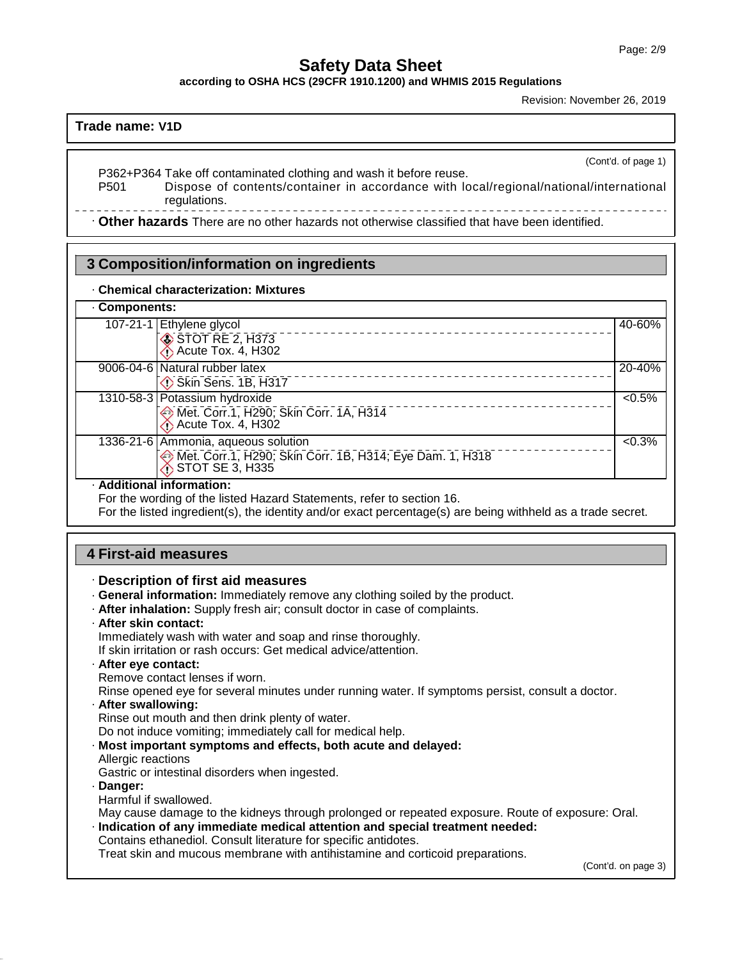**according to OSHA HCS (29CFR 1910.1200) and WHMIS 2015 Regulations**

Revision: November 26, 2019

# **Trade name: V1D**

(Cont'd. of page 1)

P362+P364 Take off contaminated clothing and wash it before reuse. Dispose of contents/container in accordance with local/regional/national/international regulations.

· **Other hazards** There are no other hazards nototherwise classified that have been identified.

# **3 Composition/information on ingredients**

### · **Chemical characterization: Mixtures**

# · **Components:**

| 107-21-1 Ethylene glycol                                                               | 40-60%    |
|----------------------------------------------------------------------------------------|-----------|
| STOT RE 2, H373<br>Acute Tox. 4, H302                                                  |           |
| 9006-04-6 Natural rubber latex                                                         | 20-40%    |
| Skin Sens. 1B, H317                                                                    |           |
| 1310-58-3 Potassium hydroxide                                                          | $< 0.5\%$ |
| Met. Corr.1, H290; Skin Corr. 1A, H314<br><b>Acute Tox. 4, H302</b>                    |           |
| 1336-21-6 Ammonia, aqueous solution                                                    | $< 0.3\%$ |
| Met. Corr.1, H290; Skin Corr. 1B, H314; Eye Dam. 1, H318<br>$\bigcirc$ STOT SE 3, H335 |           |
|                                                                                        |           |

# · **Additional information:**

For the wording of the listed Hazard Statements, refer to section 16.

For the listed ingredient(s), the identity and/or exact percentage(s) are being withheld as a trade secret.

# **4 First-aid measures**

# · **Description of first aid measures**

- · **General information:** Immediately remove any clothing soiled by the product.
- · **After inhalation:** Supply fresh air; consult doctor in case of complaints.
- · **After skin contact:**
- Immediately wash with water and soap and rinse thoroughly.

If skin irritation or rash occurs: Get medical advice/attention.

· **After eye contact:**

Remove contact lenses if worn.

Rinse opened eye for several minutes under running water. If symptoms persist, consult a doctor.

· **After swallowing:**

Rinse out mouth and then drink plenty of water.

Do not induce vomiting; immediately call for medical help.

· **Most important symptoms and effects, both acute and delayed:**

Allergic reactions Gastric or intestinal disorders when ingested.

· **Danger:**

49.4.0

Harmful if swallowed.

May cause damage to the kidneys through prolonged or repeated exposure. Route of exposure: Oral.

· **Indication of any immediate medical attention and special treatment needed:** Contains ethanediol. Consult literature for specific antidotes.

Treat skin and mucous membrane with antihistamine and corticoid preparations.

(Cont'd. on page 3)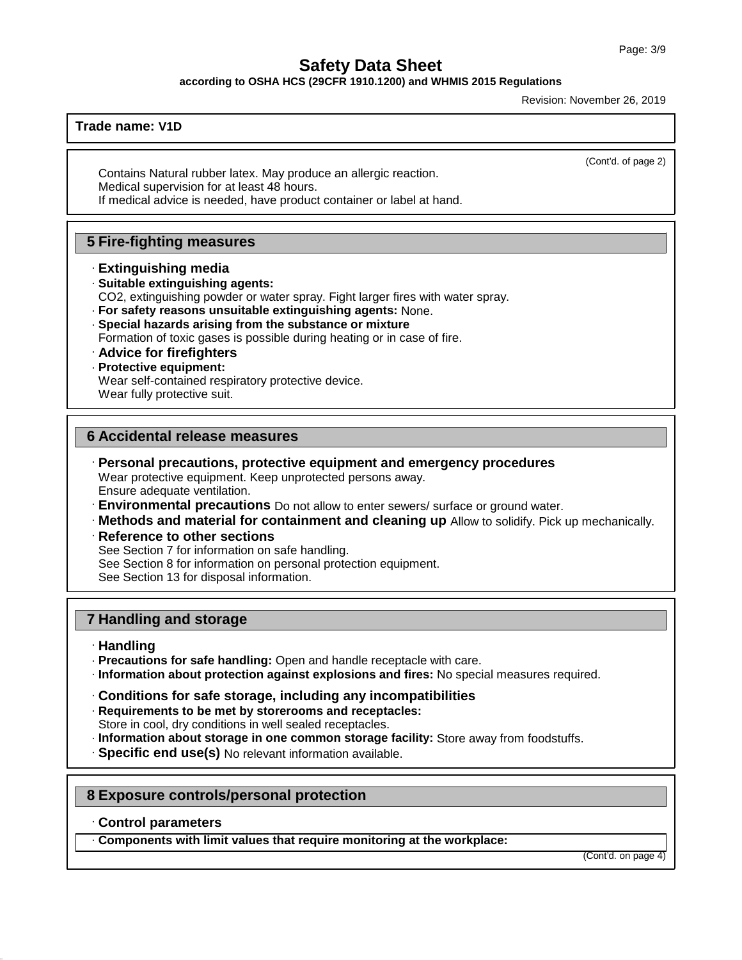**according to OSHA HCS (29CFR 1910.1200) and WHMIS 2015 Regulations**

Revision: November 26, 2019

# **Trade name: V1D**

(Cont'd. of page 2)

Contains Natural rubber latex. May produce an allergic reaction. Medical supervision for at least 48 hours. If medical advice is needed, have product container or label at hand.

# **5 Fire-fighting measures**

- · **Extinguishing media**
- · **Suitable extinguishing agents:**
- CO2, extinguishing powder or water spray. Fight larger fires with water spray.
- · **For safety reasons unsuitable extinguishing agents:** None.
- · **Special hazards arising from the substance or mixture**
- Formation of toxic gases is possible during heating or in case of fire.
- · **Advice for firefighters**
- · **Protective equipment:**

Wear self-contained respiratory protective device.

Wear fully protective suit.

# **6 Accidental release measures**

- · **Personal precautions, protective equipment and emergency procedures** Wear protective equipment. Keep unprotected persons away. Ensure adequate ventilation.
- · **Environmental precautions** Do not allow to enter sewers/ surface or ground water.
- · **Methods and material for containment and cleaning up** Allow to solidify. Pick up mechanically.
- · **Reference to other sections**

See Section 7 for information on safe handling.

See Section 8 for information on personal protection equipment.

See Section 13 for disposal information.

# **7 Handling and storage**

# · **Handling**

- · **Precautions for safe handling:** Open and handle receptacle with care.
- · **Information about protection against explosions and fires:** No special measures required.
- · **Conditions for safe storage, including any incompatibilities**
- · **Requirements to be met by storerooms and receptacles:**
- Store in cool, dry conditions in well sealed receptacles.
- · **Information about storage in one common storage facility:** Store away from foodstuffs.
- · **Specific end use(s)** No relevant information available.

# **8 Exposure controls/personal protection**

· **Control parameters**

49.4.0

· **Components with limit values that require monitoring at the workplace:**

(Cont'd. on page 4)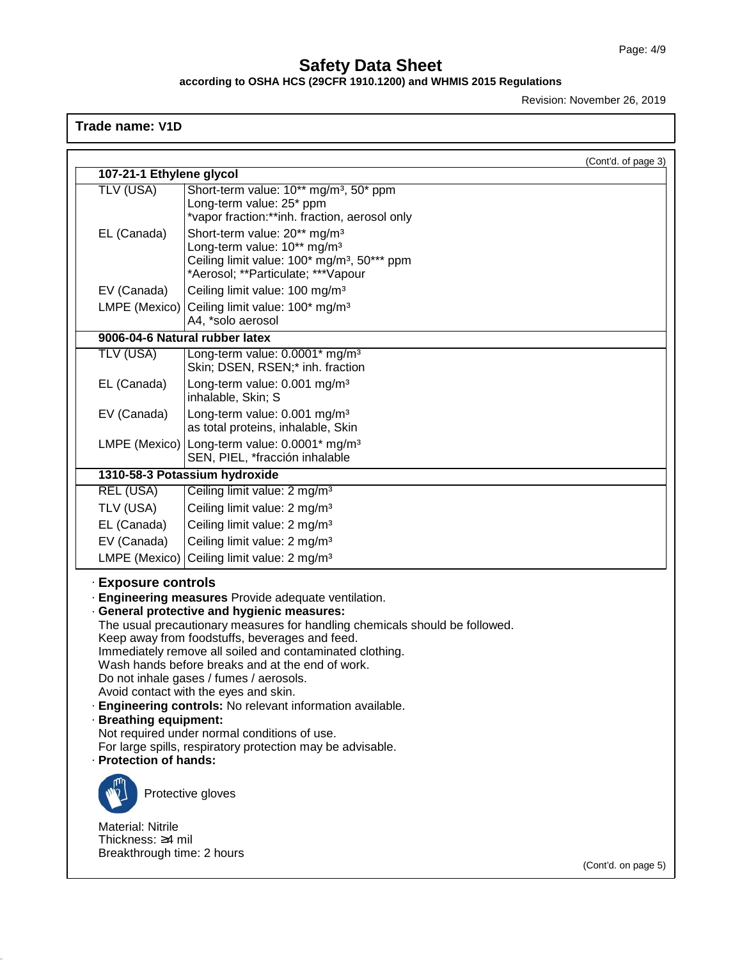### **according to OSHA HCS (29CFR 1910.1200) and WHMIS 2015 Regulations**

Revision: November 26, 2019

# **Trade name: V1D**

49.4.0

|                            |                                                                                                            | (Cont'd. of page 3) |
|----------------------------|------------------------------------------------------------------------------------------------------------|---------------------|
| 107-21-1 Ethylene glycol   |                                                                                                            |                     |
| <b>TLV (USA)</b>           | Short-term value: 10** mg/m <sup>3</sup> , 50* ppm                                                         |                     |
|                            | Long-term value: 25* ppm<br>*vapor fraction:**inh. fraction, aerosol only                                  |                     |
| EL (Canada)                | Short-term value: 20** mg/m <sup>3</sup>                                                                   |                     |
|                            | Long-term value: 10** mg/m <sup>3</sup>                                                                    |                     |
|                            | Ceiling limit value: 100* mg/m <sup>3</sup> , 50*** ppm                                                    |                     |
|                            | *Aerosol; **Particulate; ***Vapour                                                                         |                     |
| EV (Canada)                | Ceiling limit value: 100 mg/m <sup>3</sup>                                                                 |                     |
| LMPE (Mexico)              | Ceiling limit value: 100* mg/m <sup>3</sup>                                                                |                     |
|                            | A4, *solo aerosol                                                                                          |                     |
|                            | 9006-04-6 Natural rubber latex                                                                             |                     |
| TLV (USA)                  | Long-term value: 0.0001* mg/m <sup>3</sup><br>Skin; DSEN, RSEN;* inh. fraction                             |                     |
| EL (Canada)                | Long-term value: 0.001 mg/m <sup>3</sup>                                                                   |                     |
|                            | inhalable, Skin; S                                                                                         |                     |
| EV (Canada)                | Long-term value: 0.001 mg/m <sup>3</sup>                                                                   |                     |
|                            | as total proteins, inhalable, Skin                                                                         |                     |
| LMPE (Mexico)              | Long-term value: 0.0001* mg/m <sup>3</sup>                                                                 |                     |
|                            | SEN, PIEL, *fracción inhalable                                                                             |                     |
|                            | 1310-58-3 Potassium hydroxide                                                                              |                     |
| <b>REL (USA)</b>           | Ceiling limit value: 2 mg/m <sup>3</sup>                                                                   |                     |
| TLV (USA)                  | Ceiling limit value: 2 mg/m <sup>3</sup>                                                                   |                     |
| EL (Canada)                | Ceiling limit value: 2 mg/m <sup>3</sup>                                                                   |                     |
| EV (Canada)                | Ceiling limit value: 2 mg/m <sup>3</sup>                                                                   |                     |
| LMPE (Mexico)              | Ceiling limit value: 2 mg/m <sup>3</sup>                                                                   |                     |
| <b>Exposure controls</b>   | Engineering measures Provide adequate ventilation.                                                         |                     |
|                            | · General protective and hygienic measures:                                                                |                     |
|                            | The usual precautionary measures for handling chemicals should be followed.                                |                     |
|                            | Keep away from foodstuffs, beverages and feed.<br>Immediately remove all soiled and contaminated clothing. |                     |
|                            | Wash hands before breaks and at the end of work.                                                           |                     |
|                            | Do not inhale gases / fumes / aerosols.                                                                    |                     |
|                            | Avoid contact with the eyes and skin.                                                                      |                     |
|                            | · Engineering controls: No relevant information available.                                                 |                     |
| · Breathing equipment:     | Not required under normal conditions of use.                                                               |                     |
|                            | For large spills, respiratory protection may be advisable.                                                 |                     |
| · Protection of hands:     |                                                                                                            |                     |
|                            |                                                                                                            |                     |
|                            | Protective gloves                                                                                          |                     |
| Material: Nitrile          |                                                                                                            |                     |
| Thickness: 4 mil           |                                                                                                            |                     |
| Breakthrough time: 2 hours |                                                                                                            | (Cont'd. on page 5) |
|                            |                                                                                                            |                     |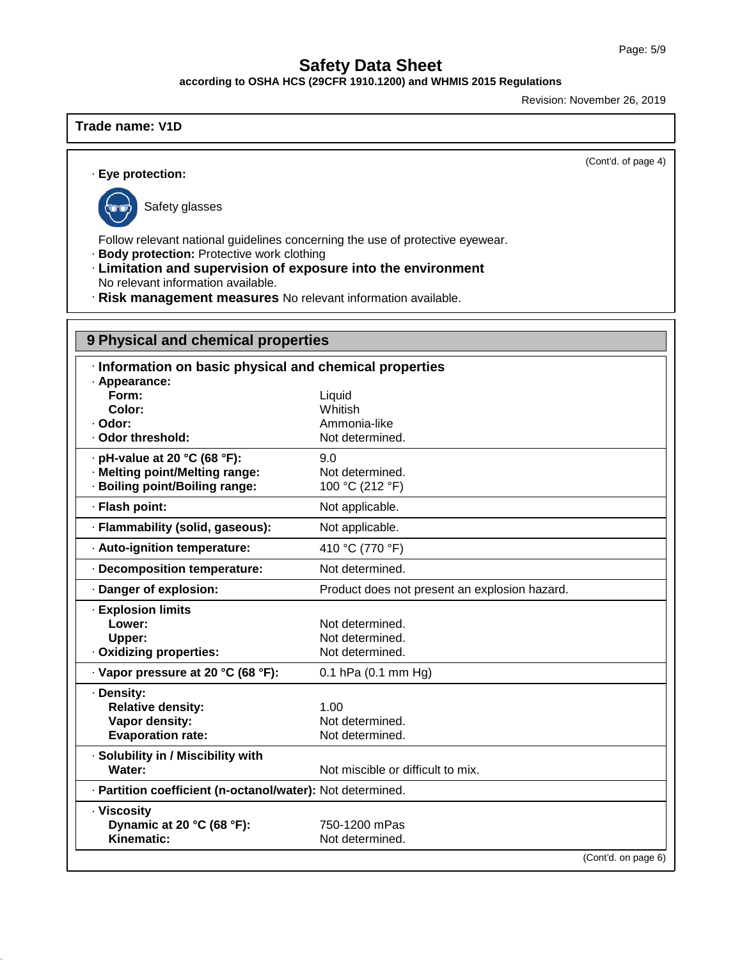**according to OSHA HCS (29CFR 1910.1200) and WHMIS 2015 Regulations**

Revision: November 26, 2019

# **Trade name: V1D**

(Cont'd. of page 4)

# · **Eye protection:**



49.4.0

Safety glasses

Follow relevant national guidelines concerning the use of protective eyewear.

· **Body protection:** Protective work clothing

- · **Limitation and supervision of exposure into the environment**
- No relevant information available.
- · **Risk management measures** No relevant information available.

# **9 Physical and chemical properties**

| Information on basic physical and chemical properties      |                                               |
|------------------------------------------------------------|-----------------------------------------------|
| · Appearance:<br>Form:                                     | Liquid                                        |
| Color:                                                     | Whitish                                       |
| · Odor:                                                    | Ammonia-like                                  |
| · Odor threshold:                                          | Not determined.                               |
| · pH-value at 20 °C (68 °F):                               | 9.0                                           |
| · Melting point/Melting range:                             | Not determined.                               |
| · Boiling point/Boiling range:                             | 100 °C (212 °F)                               |
| · Flash point:                                             | Not applicable.                               |
| · Flammability (solid, gaseous):                           | Not applicable.                               |
| · Auto-ignition temperature:                               | 410 °C (770 °F)                               |
| · Decomposition temperature:                               | Not determined.                               |
| · Danger of explosion:                                     | Product does not present an explosion hazard. |
| · Explosion limits                                         |                                               |
| Lower:                                                     | Not determined.                               |
| Upper:                                                     | Not determined.                               |
| Oxidizing properties:                                      | Not determined.                               |
| · Vapor pressure at 20 °C (68 °F):                         | 0.1 hPa (0.1 mm Hg)                           |
| · Density:                                                 |                                               |
| <b>Relative density:</b>                                   | 1.00                                          |
| Vapor density:                                             | Not determined.                               |
| <b>Evaporation rate:</b>                                   | Not determined.                               |
| · Solubility in / Miscibility with                         |                                               |
| Water:                                                     | Not miscible or difficult to mix.             |
| · Partition coefficient (n-octanol/water): Not determined. |                                               |
| · Viscosity                                                |                                               |
| Dynamic at 20 °C (68 °F):                                  | 750-1200 mPas                                 |
| Kinematic:                                                 | Not determined.                               |
|                                                            | (Cont'd. on page 6)                           |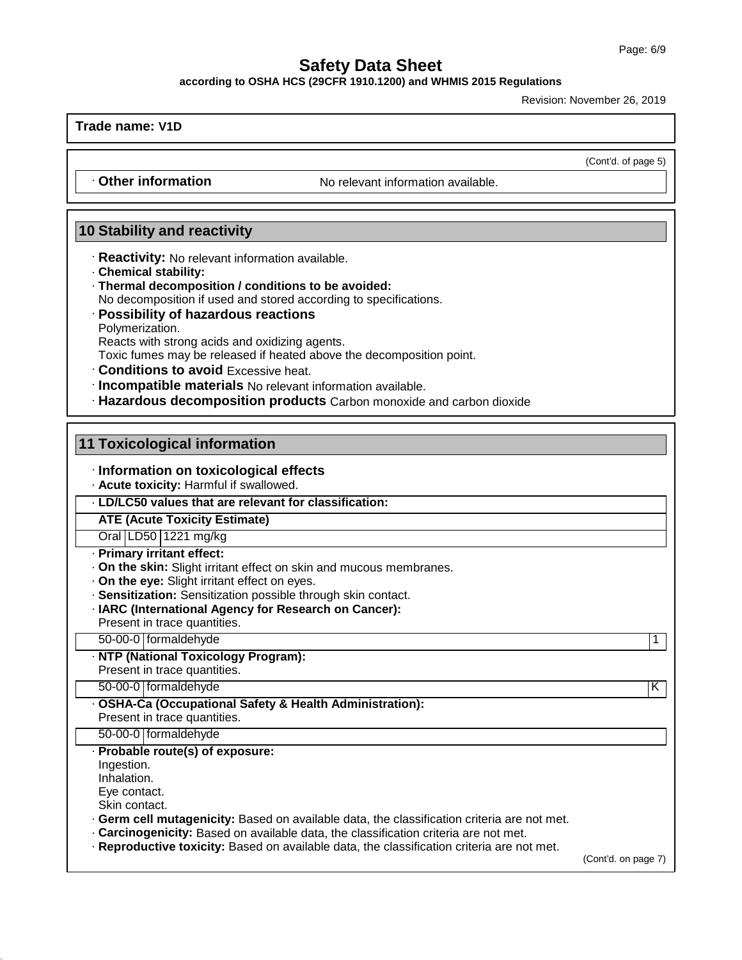(Cont'd. of page 5)

# **Safety Data Sheet**

**according to OSHA HCS (29CFR 1910.1200) and WHMIS 2015 Regulations**

Revision: November 26, 2019

**Trade name: V1D**

• **Other information** No relevant information available.

# **10 Stability and reactivity**

- · **Reactivity:** No relevant information available.
- · **Chemical stability:**
- · **Thermal decomposition / conditions to be avoided:** No decomposition if used and stored according to specifications.
- · **Possibility of hazardous reactions**
- Polymerization.

Reacts with strong acids and oxidizing agents.

Toxic fumes may be released if heated above the decomposition point.

- · **Conditions to avoid** Excessive heat.
- · **Incompatible materials** No relevant information available.
- · **Hazardous decomposition products** Carbon monoxide and carbon dioxide

# **11 Toxicological information**

# · **Information on toxicological effects**

· **Acute toxicity:** Harmful if swallowed.

# · **LD/LC50 values that are relevant for classification:**

**ATE (Acute Toxicity Estimate)**

# Oral LD50 1221 mg/kg

- · **Primary irritant effect:**
- · **On the skin:** Slight irritant effect on skin and mucous membranes.
- · **On the eye:** Slight irritant effect on eyes.
- · **Sensitization:** Sensitization possible through skin contact.
- · **IARC (International Agency for Research on Cancer):**

Present in trace quantities.

50-00-0 formaldehyde 1

· **NTP (National Toxicology Program):** Present in trace quantities.

- 50-00-0 formaldehyde K
- · **OSHA-Ca (Occupational Safety & Health Administration):**

Present in trace quantities.

50-00-0 formaldehyde

# · **Probable route(s) of exposure:**

Ingestion.

Inhalation.

Eye contact.

Skin contact.

49.4.0

· **Germ cell mutagenicity:** Based on available data, the classification criteria are not met.

· **Carcinogenicity:** Based on available data, the classification criteria are not met.

· **Reproductive toxicity:** Based on available data, the classification criteria are not met.

(Cont'd. on page 7)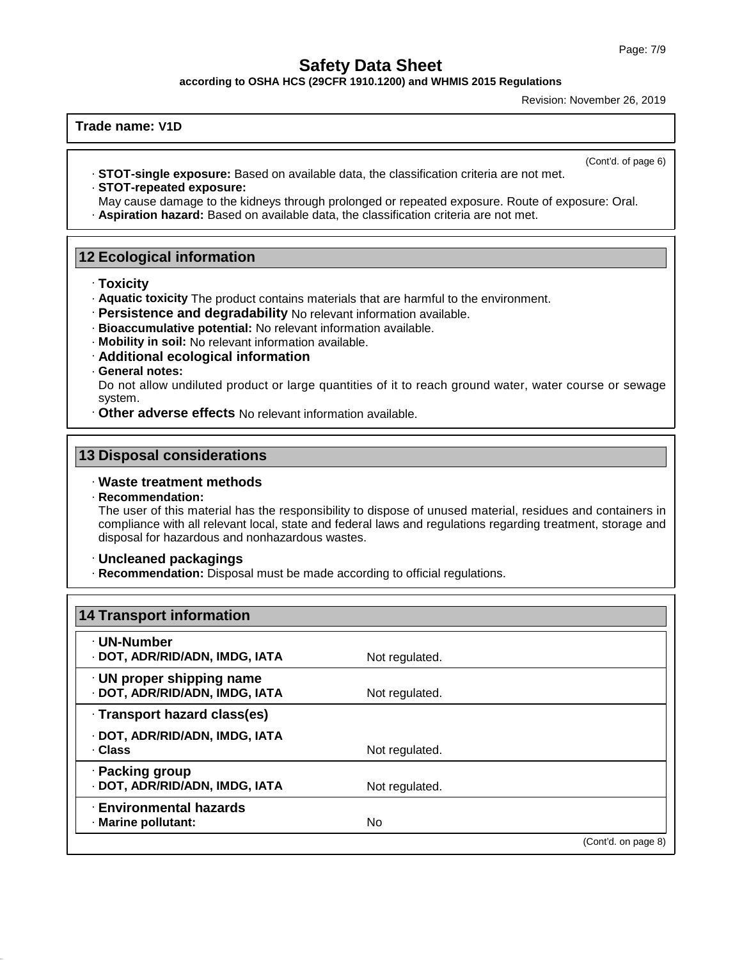**according to OSHA HCS (29CFR 1910.1200) and WHMIS 2015 Regulations**

Revision: November 26, 2019

# **Trade name: V1D**

(Cont'd. of page 6)

· **STOT-single exposure:** Based on available data, the classification criteria are not met. · **STOT-repeated exposure:**

May cause damage to the kidneys through prolonged or repeated exposure. Route of exposure: Oral. · **Aspiration hazard:** Based on available data, the classification criteria are not met.

# **12 Ecological information**

- · **Toxicity**
- · **Aquatic toxicity** The product contains materials that are harmful to the environment.
- · **Persistence and degradability** No relevant information available.
- · **Bioaccumulative potential:** No relevant information available.
- · **Mobility in soil:** No relevant information available.
- · **Additional ecological information**
- · **General notes:**

Do not allow undiluted product or large quantities of it to reach ground water, water course or sewage system.

· **Other adverse effects** No relevant information available.

# **13 Disposal considerations**

# · **Waste treatment methods**

· **Recommendation:**

49.4.0

The user of this material has the responsibility to dispose of unused material, residues and containers in compliance with all relevant local, state and federal laws and regulations regarding treatment, storage and disposal for hazardous and nonhazardous wastes.

### · **Uncleaned packagings**

· **Recommendation:** Disposal must be made according to official regulations.

| 14 Transport information                                          |                |                     |
|-------------------------------------------------------------------|----------------|---------------------|
| · UN-Number<br>· DOT, ADR/RID/ADN, IMDG, IATA                     | Not regulated. |                     |
| $\cdot$ UN proper shipping name<br>· DOT, ADR/RID/ADN, IMDG, IATA | Not regulated. |                     |
| · Transport hazard class(es)                                      |                |                     |
| · DOT, ADR/RID/ADN, IMDG, IATA<br>· Class                         | Not regulated. |                     |
| · Packing group<br>· DOT, ADR/RID/ADN, IMDG, IATA                 | Not regulated. |                     |
| <b>Environmental hazards</b><br>· Marine pollutant:               | No             |                     |
|                                                                   |                | (Cont'd. on page 8) |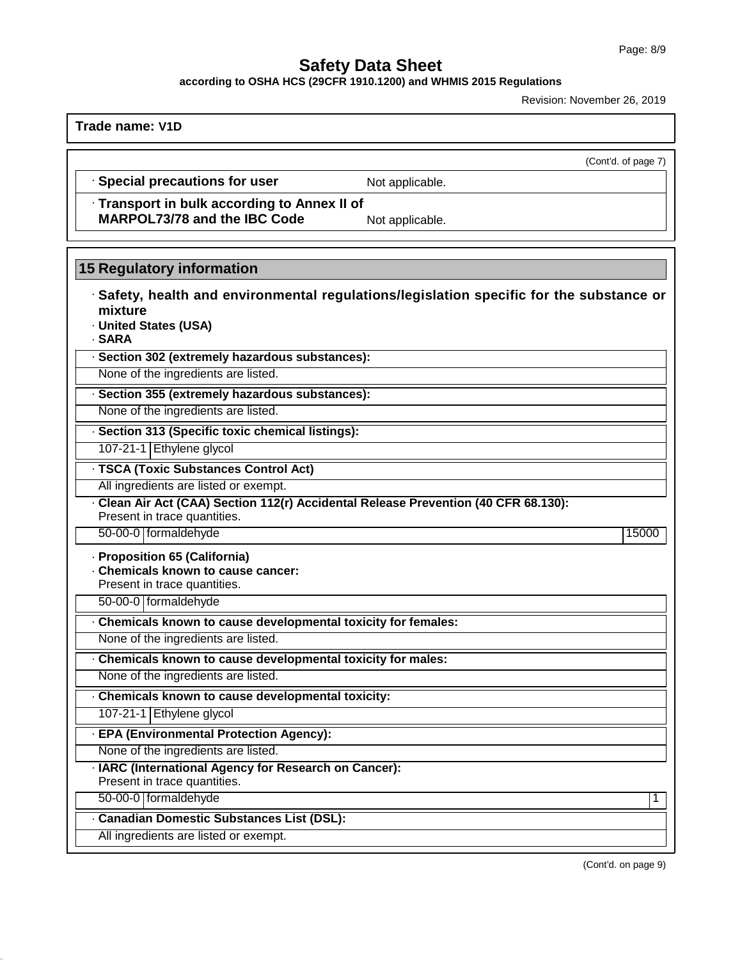(Cont'd. of page 7)

# **Safety Data Sheet**

**according to OSHA HCS (29CFR 1910.1200) and WHMIS 2015 Regulations**

Revision: November 26, 2019

**Trade name: V1D**

# · **Special precautions for user** Not applicable.

· **Transport in bulk according to Annex II of**

**MARPOL73/78** and the IBC Code Not applicable.

# **15 Regulatory information**

- · **Safety, health and environmental regulations/legislation specific for the substance or mixture**
- · **United States (USA)**
- · **SARA**
- · **Section 302 (extremely hazardous substances):**
- None of the ingredients are listed.
- · **Section 355 (extremely hazardous substances):**
- None of the ingredients are listed.
- · **Section 313 (Specific toxic chemical listings):**
- 107-21-1 Ethylene glycol
- · **TSCA (Toxic Substances Control Act)**
- All ingredients are listed or exempt.
- · **Clean AirAct (CAA) Section 112(r) Accidental Release Prevention (40 CFR 68.130):**
- Present in trace quantities. 50-00-0 formaldehyde 15000
- · **Proposition 65 (California)**
- · **Chemicals known to cause cancer:**
- Present in trace quantities.
- 50-00-0 formaldehyde
- · **Chemicals known to cause developmental toxicity for females:**
- None of the ingredients are listed.

None of the ingredients are listed.

- · **Chemicals known to cause developmental toxicity for males:**
- · **Chemicals known to cause developmental toxicity:**
- 107-21-1 Ethylene glycol
- · **EPA (Environmental Protection Agency):**
- None of the ingredients are listed.
- · **IARC (International Agency for Research on Cancer):**
- Present in trace quantities.
- 50-00-0 formaldehyde 1

49.4.0

- · **Canadian Domestic Substances List (DSL):**
- All ingredients are listed or exempt.